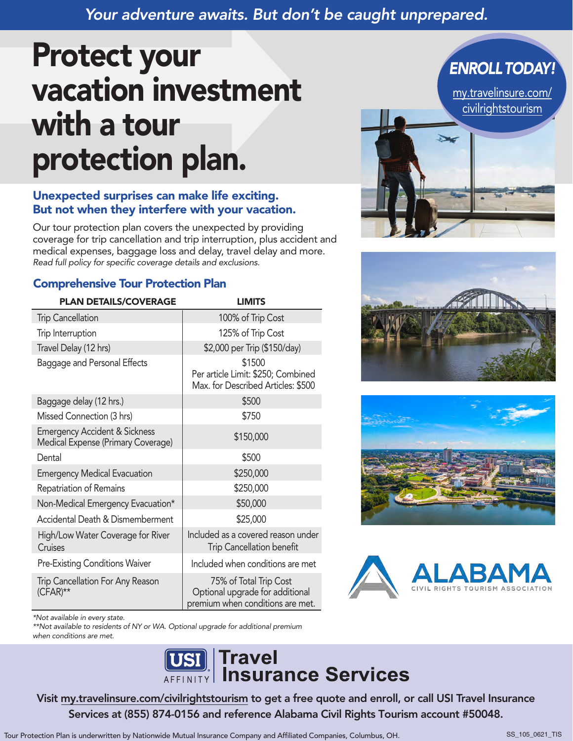# *Your adventure awaits. But don't be caught unprepared.*

# Protect your vacation investment with a tour protection plan.

#### Unexpected surprises can make life exciting. But not when they interfere with your vacation.

Our tour protection plan covers the unexpected by providing coverage for trip cancellation and trip interruption, plus accident and medical expenses, baggage loss and delay, travel delay and more. *Read full policy for specific coverage details and exclusions.*

#### Comprehensive Tour Protection Plan

| <b>PLAN DETAILS/COVERAGE</b>                                                   | <b>LIMITS</b>                                                                                 |
|--------------------------------------------------------------------------------|-----------------------------------------------------------------------------------------------|
| <b>Trip Cancellation</b>                                                       | 100% of Trip Cost                                                                             |
| Trip Interruption                                                              | 125% of Trip Cost                                                                             |
| Travel Delay (12 hrs)                                                          | \$2,000 per Trip (\$150/day)                                                                  |
| Baggage and Personal Effects                                                   | \$1500<br>Per article Limit: \$250; Combined<br>Max. for Described Articles: \$500            |
| Baggage delay (12 hrs.)                                                        | \$500                                                                                         |
| Missed Connection (3 hrs)                                                      | \$750                                                                                         |
| <b>Emergency Accident &amp; Sickness</b><br>Medical Expense (Primary Coverage) | \$150,000                                                                                     |
| Dental                                                                         | \$500                                                                                         |
| <b>Emergency Medical Evacuation</b>                                            | \$250,000                                                                                     |
| Repatriation of Remains                                                        | \$250,000                                                                                     |
| Non-Medical Emergency Evacuation*                                              | \$50,000                                                                                      |
| Accidental Death & Dismemberment                                               | \$25,000                                                                                      |
| High/Low Water Coverage for River<br>Cruises                                   | Included as a covered reason under<br><b>Trip Cancellation benefit</b>                        |
| <b>Pre-Existing Conditions Waiver</b>                                          | Included when conditions are met                                                              |
| Trip Cancellation For Any Reason<br>(CFAR)**                                   | 75% of Total Trip Cost<br>Optional upgrade for additional<br>premium when conditions are met. |



*ENROLLTODAY!*







*\*Not available in every state.*

\*\*Not available to residents of NY or WA. Optional upgrade for additional premium when conditions are met.



Vis[it my.travelinsure.com/civilrightstourism to](https://my.travelinsure.com/civilrightstourism/?p=50048) get a free quote and enroll, or call USI Travel Insurance Services at (855) 874-0156 and reference Alabama Civil Rights Tourism account #50048.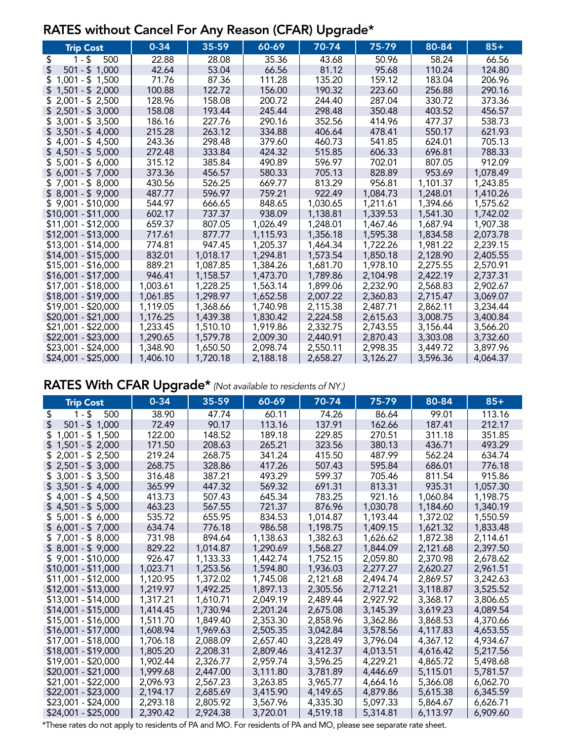#### RATES without Cancel For Any Reason (CFAR) Upgrade\*

| <b>Trip Cost</b>        | $0 - 34$ | 35-59    | 60-69    | 70-74    | 75-79    | 80-84    | $85+$    |
|-------------------------|----------|----------|----------|----------|----------|----------|----------|
| \$<br>$1 - $$<br>500    | 22.88    | 28.08    | 35.36    | 43.68    | 50.96    | 58.24    | 66.56    |
| \$<br>$501 - $ 1,000$   | 42.64    | 53.04    | 66.56    | 81.12    | 95.68    | 110.24   | 124.80   |
| $1,001 - $1,500$        | 71.76    | 87.36    | 111.28   | 135.20   | 159.12   | 183.04   | 206.96   |
| $1,501 - $2,000$<br>\$. | 100.88   | 122.72   | 156.00   | 190.32   | 223.60   | 256.88   | 290.16   |
| $2,001 - $2,500$        | 128.96   | 158.08   | 200.72   | 244.40   | 287.04   | 330.72   | 373.36   |
| $$2,501 - $3,000$       | 158.08   | 193.44   | 245.44   | 298.48   | 350.48   | 403.52   | 456.57   |
| $$3,001 - $3,500$       | 186.16   | 227.76   | 290.16   | 352.56   | 414.96   | 477.37   | 538.73   |
| $$3,501 - $4,000$       | 215.28   | 263.12   | 334.88   | 406.64   | 478.41   | 550.17   | 621.93   |
| $4,001 - $4,500$        | 243.36   | 298.48   | 379.60   | 460.73   | 541.85   | 624.01   | 705.13   |
| $$4,501 - $5,000$       | 272.48   | 333.84   | 424.32   | 515.85   | 606.33   | 696.81   | 788.33   |
| \$.<br>$5,001 - $6,000$ | 315.12   | 385.84   | 490.89   | 596.97   | 702.01   | 807.05   | 912.09   |
| $$6,001 - $7,000$       | 373.36   | 456.57   | 580.33   | 705.13   | 828.89   | 953.69   | 1,078.49 |
| $$7,001 - $8,000$       | 430.56   | 526.25   | 669.77   | 813.29   | 956.81   | 1,101.37 | 1,243.85 |
| $$8,001 - $9,000$       | 487.77   | 596.97   | 759.21   | 922.49   | 1,084.73 | 1,248.01 | 1,410.26 |
| $$9,001 - $10,000$      | 544.97   | 666.65   | 848.65   | 1,030.65 | 1,211.61 | 1,394.66 | 1,575.62 |
| $$10,001 - $11,000$     | 602.17   | 737.37   | 938.09   | 1,138.81 | 1,339.53 | 1,541.30 | 1,742.02 |
| \$11,001 - \$12,000     | 659.37   | 807.05   | 1,026.49 | 1,248.01 | 1,467.46 | 1,687.94 | 1,907.38 |
| \$12,001 - \$13,000     | 717.61   | 877.77   | 1,115.93 | 1,356.18 | 1,595.38 | 1,834.58 | 2,073.78 |
| $$13,001 - $14,000$     | 774.81   | 947.45   | 1,205.37 | 1,464.34 | 1,722.26 | 1,981.22 | 2,239.15 |
| \$14,001 - \$15,000     | 832.01   | 1,018.17 | 1,294.81 | 1,573.54 | 1,850.18 | 2,128.90 | 2,405.55 |
| \$15,001 - \$16,000     | 889.21   | 1,087.85 | 1,384.26 | 1,681.70 | 1,978.10 | 2,275.55 | 2,570.91 |
| $$16,001 - $17,000$     | 946.41   | 1,158.57 | 1,473.70 | 1,789.86 | 2,104.98 | 2,422.19 | 2,737.31 |
| \$17,001 - \$18,000     | 1,003.61 | 1,228.25 | 1,563.14 | 1,899.06 | 2,232.90 | 2,568.83 | 2,902.67 |
| \$18,001 - \$19,000     | 1,061.85 | 1,298.97 | 1,652.58 | 2,007.22 | 2,360.83 | 2,715.47 | 3,069.07 |
| \$19,001 - \$20,000     | 1,119.05 | 1,368.66 | 1,740.98 | 2,115.38 | 2,487.71 | 2,862.11 | 3,234.44 |
| \$20,001 - \$21,000     | 1,176.25 | 1,439.38 | 1,830.42 | 2,224.58 | 2,615.63 | 3,008.75 | 3,400.84 |
| \$21,001 - \$22,000     | 1,233.45 | 1,510.10 | 1,919.86 | 2,332.75 | 2,743.55 | 3,156.44 | 3,566.20 |
| \$22,001 - \$23,000     | 1,290.65 | 1,579.78 | 2,009.30 | 2,440.91 | 2,870.43 | 3,303.08 | 3,732.60 |
| \$23,001 - \$24,000     | 1,348.90 | 1,650.50 | 2,098.74 | 2,550.11 | 2,998.35 | 3,449.72 | 3,897.96 |
| \$24,001 - \$25,000     | 1,406.10 | 1,720.18 | 2,188.18 | 2,658.27 | 3,126.27 | 3,596.36 | 4,064.37 |

# RATES With CFAR Upgrade\* (Not available to residents of NY.)

| <b>Trip Cost</b>     | $0 - 34$ | 35-59    | 60-69    | 70-74    | 75-79    | $80 - 84$ | $85+$    |
|----------------------|----------|----------|----------|----------|----------|-----------|----------|
| \$<br>$1 - $$<br>500 | 38.90    | 47.74    | 60.11    | 74.26    | 86.64    | 99.01     | 113.16   |
| $501 - $1,000$<br>\$ | 72.49    | 90.17    | 113.16   | 137.91   | 162.66   | 187.41    | 212.17   |
| $$1,001 - $1,500$    | 122.00   | 148.52   | 189.18   | 229.85   | 270.51   | 311.18    | 351.85   |
| $$1,501 - $2,000$    | 171.50   | 208.63   | 265.21   | 323.56   | 380.13   | 436.71    | 493.29   |
| $$2,001 - $2,500$    | 219.24   | 268.75   | 341.24   | 415.50   | 487.99   | 562.24    | 634.74   |
| $$2,501 - $3,000$    | 268.75   | 328.86   | 417.26   | 507.43   | 595.84   | 686.01    | 776.18   |
| $$3,001 - $3,500$    | 316.48   | 387.21   | 493.29   | 599.37   | 705.46   | 811.54    | 915.86   |
| $$3,501 - $4,000$    | 365.99   | 447.32   | 569.32   | 691.31   | 813.31   | 935.31    | 1,057.30 |
| $$4,001 - $4,500$    | 413.73   | 507.43   | 645.34   | 783.25   | 921.16   | 1,060.84  | 1,198.75 |
| $$4,501 - $5,000$    | 463.23   | 567.55   | 721.37   | 876.96   | 1,030.78 | 1,184.60  | 1,340.19 |
| $$5,001 - $6,000$    | 535.72   | 655.95   | 834.53   | 1,014.87 | 1,193.44 | 1,372.02  | 1,550.59 |
| $$6,001 - $7,000$    | 634.74   | 776.18   | 986.58   | 1,198.75 | 1,409.15 | 1,621.32  | 1,833.48 |
| $$7,001 - $8,000$    | 731.98   | 894.64   | 1,138.63 | 1,382.63 | 1,626.62 | 1,872.38  | 2,114.61 |
| $$8,001 - $9,000$    | 829.22   | 1,014.87 | 1,290.69 | 1,568.27 | 1,844.09 | 2,121.68  | 2,397.50 |
| $$9,001 - $10,000$   | 926.47   | 1,133.33 | 1,442.74 | 1,752.15 | 2,059.80 | 2,370.98  | 2,678.62 |
| \$10,001 - \$11,000  | 1,023.71 | 1,253.56 | 1,594.80 | 1,936.03 | 2,277.27 | 2,620.27  | 2,961.51 |
| \$11,001 - \$12,000  | 1,120.95 | 1,372.02 | 1,745.08 | 2,121.68 | 2,494.74 | 2,869.57  | 3,242.63 |
| \$12,001 - \$13,000  | 1,219.97 | 1,492.25 | 1,897.13 | 2,305.56 | 2,712.21 | 3,118.87  | 3,525.52 |
| \$13,001 - \$14,000  | 1,317.21 | 1,610.71 | 2,049.19 | 2,489.44 | 2,927.92 | 3,368.17  | 3,806.65 |
| \$14,001 - \$15,000  | 1,414.45 | 1,730.94 | 2,201.24 | 2,675.08 | 3,145.39 | 3,619.23  | 4,089.54 |
| \$15,001 - \$16,000  | 1,511.70 | 1,849.40 | 2,353.30 | 2,858.96 | 3,362.86 | 3,868.53  | 4,370.66 |
| \$16,001 - \$17,000  | 1,608.94 | 1,969.63 | 2,505.35 | 3,042.84 | 3,578.56 | 4,117.83  | 4,653.55 |
| \$17,001 - \$18,000  | 1,706.18 | 2,088.09 | 2,657.40 | 3,228.49 | 3,796.04 | 4,367.12  | 4,934.67 |
| \$18,001 - \$19,000  | 1,805.20 | 2,208.31 | 2,809.46 | 3,412.37 | 4,013.51 | 4,616.42  | 5,217.56 |
| \$19,001 - \$20,000  | 1,902.44 | 2,326.77 | 2,959.74 | 3,596.25 | 4,229.21 | 4,865.72  | 5,498.68 |
| \$20,001 - \$21,000  | 1,999.68 | 2,447.00 | 3,111.80 | 3,781.89 | 4,446.69 | 5,115.01  | 5,781.57 |
| \$21,001 - \$22,000  | 2,096.93 | 2,567.23 | 3,263.85 | 3,965.77 | 4,664.16 | 5,366.08  | 6,062.70 |
| \$22,001 - \$23,000  | 2,194.17 | 2,685.69 | 3,415.90 | 4,149.65 | 4,879.86 | 5,615.38  | 6,345.59 |
| \$23,001 - \$24,000  | 2,293.18 | 2,805.92 | 3,567.96 | 4,335.30 | 5,097.33 | 5,864.67  | 6,626.71 |
| \$24,001 - \$25,000  | 2,390.42 | 2,924.38 | 3,720.01 | 4,519.18 | 5,314.81 | 6,113.97  | 6,909.60 |

\*These rates do not apply to residents of PA and MO. For residents of PA and MO, please see separate rate sheet.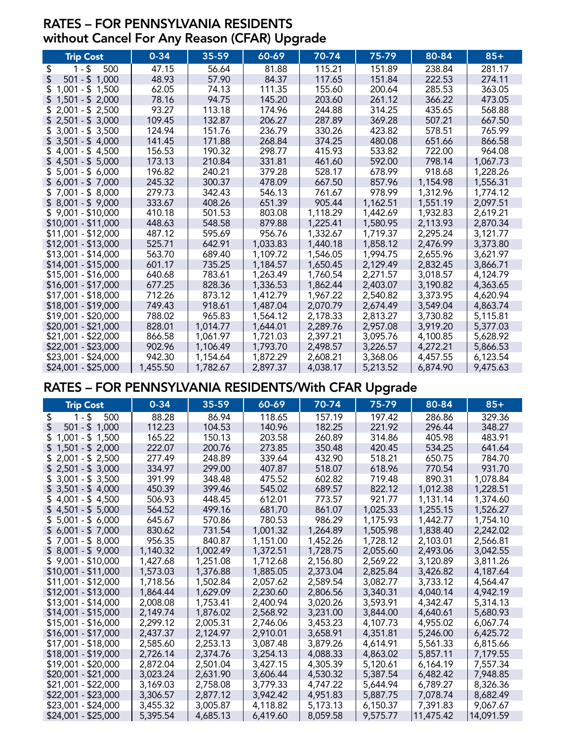#### RATES – FOR PENNSYLVANIA RESIDENTS without Cancel For Any Reason (CFAR) Upgrade

| <b>Trip Cost</b>        | $0 - 34$ | 35-59    | 60-69    | 70-74    | 75-79    | 80-84    | $85+$    |
|-------------------------|----------|----------|----------|----------|----------|----------|----------|
| \$<br>$1 - $$<br>500    | 47.15    | 56.64    | 81.88    | 115.21   | 151.89   | 238.84   | 281.17   |
| $501 - $1,000$<br>\$    | 48.93    | 57.90    | 84.37    | 117.65   | 151.84   | 222.53   | 274.11   |
| $1,001 - $1,500$<br>\$. | 62.05    | 74.13    | 111.35   | 155.60   | 200.64   | 285.53   | 363.05   |
| $1,501 - $2,000$        | 78.16    | 94.75    | 145.20   | 203.60   | 261.12   | 366.22   | 473.05   |
| $$2,001 - $2,500$       | 93.27    | 113.18   | 174.96   | 244.88   | 314.25   | 435.65   | 568.88   |
| $$2,501 - $3,000$       | 109.45   | 132.87   | 206.27   | 287.89   | 369.28   | 507.21   | 667.50   |
| $$3,001 - $3,500$       | 124.94   | 151.76   | 236.79   | 330.26   | 423.82   | 578.51   | 765.99   |
| $$3,501 - $4,000$       | 141.45   | 171.88   | 268.84   | 374.25   | 480.08   | 651.66   | 866.58   |
| $$4,001 - $4,500$       | 156.53   | 190.32   | 298.77   | 415.93   | 533.82   | 722.00   | 964.08   |
| $$4,501 - $5,000$       | 173.13   | 210.84   | 331.81   | 461.60   | 592.00   | 798.14   | 1,067.73 |
| $$5,001 - $6,000$       | 196.82   | 240.21   | 379.28   | 528.17   | 678.99   | 918.68   | 1,228.26 |
| $$6,001 - $7,000$       | 245.32   | 300.37   | 478.09   | 667.50   | 857.96   | 1,154.98 | 1,556.31 |
| $$7,001 - $8,000$       | 279.73   | 342.43   | 546.13   | 761.67   | 978.99   | 1,312.96 | 1,774.12 |
| $$8,001 - $9,000$       | 333.67   | 408.26   | 651.39   | 905.44   | 1,162.51 | 1,551.19 | 2,097.51 |
| $$9,001 - $10,000$      | 410.18   | 501.53   | 803.08   | 1,118.29 | 1,442.69 | 1,932.83 | 2,619.21 |
| $$10,001 - $11,000$     | 448.63   | 548.58   | 879.88   | 1,225.41 | 1,580.95 | 2,113.93 | 2,870.34 |
| $$11,001 - $12,000$     | 487.12   | 595.69   | 956.76   | 1,332.67 | 1,719.37 | 2,295.24 | 3,121.77 |
| \$12,001 - \$13,000     | 525.71   | 642.91   | 1,033.83 | 1,440.18 | 1,858.12 | 2,476.99 | 3,373.80 |
| \$13,001 - \$14,000     | 563.70   | 689.40   | 1,109.72 | 1,546.05 | 1,994.75 | 2,655.96 | 3,621.97 |
| $$14,001 - $15,000$     | 601.17   | 735.25   | 1,184.57 | 1,650.45 | 2,129.49 | 2,832.45 | 3,866.71 |
| $$15,001 - $16,000$     | 640.68   | 783.61   | 1,263.49 | 1,760.54 | 2,271.57 | 3,018.57 | 4,124.79 |
| $$16,001 - $17,000$     | 677.25   | 828.36   | 1,336.53 | 1,862.44 | 2,403.07 | 3,190.82 | 4,363.65 |
| \$17,001 - \$18,000     | 712.26   | 873.12   | 1,412.79 | 1,967.22 | 2,540.82 | 3,373.95 | 4,620.94 |
| \$18,001 - \$19,000     | 749.43   | 918.61   | 1,487.04 | 2,070.79 | 2,674.49 | 3,549.04 | 4,863.74 |
| \$19,001 - \$20,000     | 788.02   | 965.83   | 1,564.12 | 2,178.33 | 2,813.27 | 3,730.82 | 5,115.81 |
| \$20,001 - \$21,000     | 828.01   | 1,014.77 | 1,644.01 | 2,289.76 | 2,957.08 | 3,919.20 | 5,377.03 |
| \$21,001 - \$22,000     | 866.58   | 1,061.97 | 1,721.03 | 2,397.21 | 3,095.76 | 4,100.85 | 5,628.92 |
| \$22,001 - \$23,000     | 902.96   | 1,106.49 | 1,793.70 | 2,498.57 | 3,226.57 | 4,272.21 | 5,866.53 |
| \$23,001 - \$24,000     | 942.30   | 1,154.64 | 1,872.29 | 2,608.21 | 3,368.06 | 4,457.55 | 6,123.54 |
| \$24,001 - \$25,000     | 1,455.50 | 1,782.67 | 2,897.37 | 4,038.17 | 5,213.52 | 6,874.90 | 9,475.63 |

# RATES – FOR PENNSYLVANIA RESIDENTS/With CFAR Upgrade

| <b>Trip Cost</b>       | $0 - 34$ | 35-59    | 60-69    | 70-74    | 75-79    | 80-84     | $85+$     |
|------------------------|----------|----------|----------|----------|----------|-----------|-----------|
| \$<br>$1 - $$<br>500   | 88.28    | 86.94    | 118.65   | 157.19   | 197.42   | 286.86    | 329.36    |
| $501 - $1,000$<br>S    | 112.23   | 104.53   | 140.96   | 182.25   | 221.92   | 296.44    | 348.27    |
| $$1,001 - $1,500$      | 165.22   | 150.13   | 203.58   | 260.89   | 314.86   | 405.98    | 483.91    |
| $$1,501 - $2,000$      | 222.07   | 200.76   | 273.85   | 350.48   | 420.45   | 534.25    | 641.64    |
| $$2,001 - $2,500$      | 277.49   | 248.89   | 339.64   | 432.90   | 518.21   | 650.75    | 784.70    |
| $$2,501 - $3,000$      | 334.97   | 299.00   | 407.87   | 518.07   | 618.96   | 770.54    | 931.70    |
| $$3,001 - $3,500$      | 391.99   | 348.48   | 475.52   | 602.82   | 719.48   | 890.31    | 1,078.84  |
| $$3,501 - $4,000$      | 450.39   | 399.46   | 545.02   | 689.57   | 822.12   | 1,012.38  | 1,228.51  |
| $$4,001 - $4,500$      | 506.93   | 448.45   | 612.01   | 773.57   | 921.77   | 1,131.14  | 1,374.60  |
| $$4,501 - $5,000$      | 564.52   | 499.16   | 681.70   | 861.07   | 1,025.33 | 1,255.15  | 1,526.27  |
| $5,001 - $6,000$<br>S. | 645.67   | 570.86   | 780.53   | 986.29   | 1,175.93 | 1,442.77  | 1,754.10  |
| $$6,001 - $7,000$      | 830.62   | 731.54   | 1,001.32 | 1,264.89 | 1,505.98 | 1,838.40  | 2,242.02  |
| $$7,001 - $8,000$      | 956.35   | 840.87   | 1,151.00 | 1,452.26 | 1,728.12 | 2,103.01  | 2,566.81  |
| $$8,001 - $9,000$      | 1,140.32 | 1,002.49 | 1,372.51 | 1,728.75 | 2,055.60 | 2,493.06  | 3,042.55  |
| $$9,001 - $10,000$     | 1,427.68 | 1,251.08 | 1,712.68 | 2,156.80 | 2,569.22 | 3,120.89  | 3,811.26  |
| \$10,001 - \$11,000    | 1,573.03 | 1,376.88 | 1,885.05 | 2,373.04 | 2,825.84 | 3,426.82  | 4,187.64  |
| \$11,001 - \$12,000    | 1,718.56 | 1,502.84 | 2,057.62 | 2,589.54 | 3,082.77 | 3,733.12  | 4,564.47  |
| \$12,001 - \$13,000    | 1,864.44 | 1,629.09 | 2,230.60 | 2,806.56 | 3,340.31 | 4,040.14  | 4,942.19  |
| \$13,001 - \$14,000    | 2,008.08 | 1,753.41 | 2,400.94 | 3,020.26 | 3,593.91 | 4,342.47  | 5,314.13  |
| \$14,001 - \$15,000    | 2,149.74 | 1,876.02 | 2,568.92 | 3,231.00 | 3,844.00 | 4,640.61  | 5,680.93  |
| \$15,001 - \$16,000    | 2,299.12 | 2,005.31 | 2,746.06 | 3,453.23 | 4,107.73 | 4,955.02  | 6,067.74  |
| $$16,001 - $17,000$    | 2,437.37 | 2,124.97 | 2,910.01 | 3,658.91 | 4,351.81 | 5,246.00  | 6,425.72  |
| \$17,001 - \$18,000    | 2,585.60 | 2,253.13 | 3,087.48 | 3,879.26 | 4,614.91 | 5,561.33  | 6,815.66  |
| \$18,001 - \$19,000    | 2,726.14 | 2,374.76 | 3,254.13 | 4,088.33 | 4,863.02 | 5,857.11  | 7,179.55  |
| \$19,001 - \$20,000    | 2,872.04 | 2,501.04 | 3,427.15 | 4,305.39 | 5,120.61 | 6,164.19  | 7,557.34  |
| \$20,001 - \$21,000    | 3,023.24 | 2,631.90 | 3,606.44 | 4,530.32 | 5,387.54 | 6,482.42  | 7,948.85  |
| \$21,001 - \$22,000    | 3,169.03 | 2,758.08 | 3,779.33 | 4,747.22 | 5,644.94 | 6,789.27  | 8,326.36  |
| \$22,001 - \$23,000    | 3,306.57 | 2,877.12 | 3,942.42 | 4,951.83 | 5,887.75 | 7,078.74  | 8,682.49  |
| \$23,001 - \$24,000    | 3,455.32 | 3,005.87 | 4,118.82 | 5,173.13 | 6,150.37 | 7,391.83  | 9,067.67  |
| \$24,001 - \$25,000    | 5,395.54 | 4,685.13 | 6,419.60 | 8,059.58 | 9,575.77 | 11,475.42 | 14,091.59 |